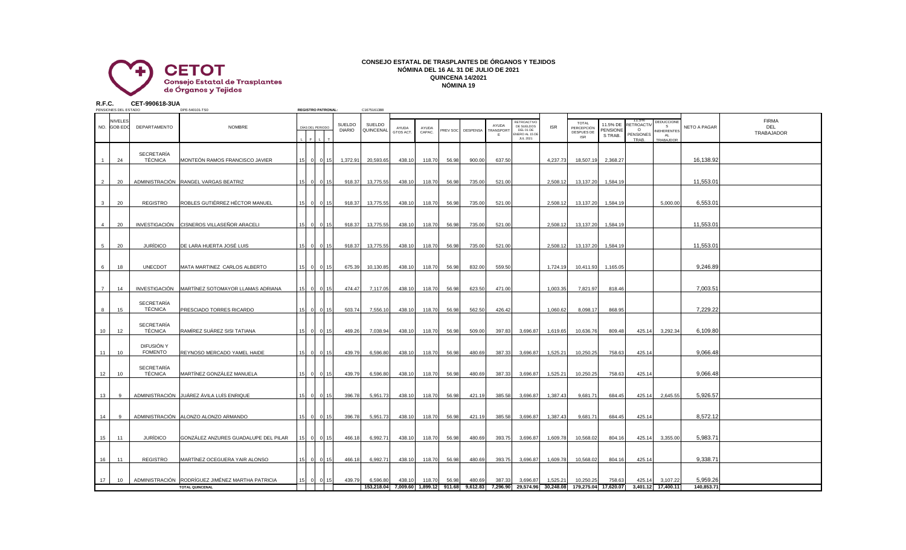

## **CONSEJO ESTATAL DE TRASPLANTES DE ÓRGANOS Y TEJIDOS NÓMINA DEL 16 AL 31 DE JULIO DE 2021 QUINCENA 14/2021 NÓMINA 19**

**R.F.C. CET-990618-3UA**

| PENSIONES DEL ESTADO          |                                     | DPE-540101-TS0                                                             |                 |                  | <b>REGISTRO PATRONAL:</b> |                                | C1675161388                              |                    |                 |                 |                   |                          |                                                                            |            |                                                        |                                        |                                                    |                                                    |                        |                                   |
|-------------------------------|-------------------------------------|----------------------------------------------------------------------------|-----------------|------------------|---------------------------|--------------------------------|------------------------------------------|--------------------|-----------------|-----------------|-------------------|--------------------------|----------------------------------------------------------------------------|------------|--------------------------------------------------------|----------------------------------------|----------------------------------------------------|----------------------------------------------------|------------------------|-----------------------------------|
| <b>NIVELES</b><br>NO. GOB EDO | DEPARTAMENTO                        | <b>NOMBRE</b>                                                              |                 | DÍAS DEL PERIODO |                           | <b>SUELDO</b><br><b>DIARIO</b> | SUELDO<br>QUINCENAL                      | AYUDA<br>GTOS ACT. | AYUDA<br>CAPAC. |                 | PREV SOC DESPENSA | AYUDA<br>TRANSPORT<br>Ε. | RETROACTIVO<br>DE SUELDOS<br>DEL 01 DE<br>NERO AL 15 DE<br><b>JUL 2021</b> | <b>ISR</b> | <b>TOTAL</b><br>PERCEPCIÓN<br>DESPUES DE<br><b>ISR</b> | 11.5% DE<br><b>PENSIONE</b><br>S TRAB. | 11.5%<br>RETROACT<br>$\circ$<br>PENSIONES<br>TRAB. | DEDUCCIONE<br>- S<br>NEHERENTES<br>A1<br>TRABAJDOR | NETO A PAGAR           | <b>FIRMA</b><br>DEL<br>TRABAJADOR |
| 24                            | <b>SECRETARÍA</b><br><b>TÉCNICA</b> | MONTEÓN RAMOS FRANCISCO JAVIER                                             | 15              | $\overline{0}$   | 0115                      | 1,372.91                       | 20,593.65                                | 438.10             | 118.70          | 56.98           | 900.00            | 637.50                   |                                                                            | 4,237.73   | 18,507.19                                              | 2,368.27                               |                                                    |                                                    | 16,138.92              |                                   |
| $\overline{2}$<br>20          |                                     | ADMINISTRACIÓN RANGEL VARGAS BEATRIZ                                       | 15              | $\circ$          | $\Omega$                  | 918.37                         | 13,775.55                                | 438.10             | 118.70          | 56.98           | 735.00            | 521.00                   |                                                                            | 2,508.12   | 13,137.20                                              | 1,584.19                               |                                                    |                                                    | 11,553.01              |                                   |
| 20<br>3                       | REGISTRO                            | ROBLES GUTIÉRREZ HÉCTOR MANUEL                                             | 15              | $\circ$          | $\Omega$<br>15            | 918.37                         | 13,775.55                                | 438.10             | 118.70          | 56.98           | 735.00            | 521.00                   |                                                                            | 2,508.12   | 13,137.20                                              | 1,584.19                               |                                                    | 5,000.00                                           | 6,553.01               |                                   |
| 20<br>$\overline{4}$          |                                     | INVESTIGACIÓN CISNEROS VILLASEÑOR ARACELI                                  | 15              | $\overline{0}$   | $\Omega$                  | 918.37                         | 13,775.55                                | 438.10             | 118.70          | 56.98           | 735.00            | 521.00                   |                                                                            | 2,508.12   | 13,137.20                                              | 1,584.19                               |                                                    |                                                    | 11,553.01              |                                   |
| 20<br>5                       | <b>JURÍDICO</b>                     | DE LARA HUERTA JOSÉ LUIS                                                   | 15              | $\overline{0}$   |                           | 918.37                         | 13,775.55                                | 438.10             | 118.70          | 56.98           | 735.00            | 521.00                   |                                                                            | 2,508.12   | 13,137.20                                              | 1,584.19                               |                                                    |                                                    | 11,553.01              |                                   |
| 18<br>6                       | <b>UNECDOT</b>                      | MATA MARTINEZ CARLOS ALBERTO                                               | 15              | $\circ$          | $\Omega$                  | 675.39                         | 10,130.85                                | 438.10             | 118.70          | 56.98           | 832.00            | 559.50                   |                                                                            | 1,724.19   | 10,411.93                                              | 1,165.05                               |                                                    |                                                    | 9,246.89               |                                   |
| $\overline{7}$<br>14          | <b>INVESTIGACIÓN</b>                | MARTÍNEZ SOTOMAYOR LLAMAS ADRIANA                                          | 15              |                  | 0 0 15                    | 474.47                         | 7,117.05                                 | 438.10             | 118.70          | 56.98           | 623.50            | 471.00                   |                                                                            | 1,003.35   | 7,821.97                                               | 818.46                                 |                                                    |                                                    | 7,003.51               |                                   |
| 15<br>8                       | SECRETARÍA<br>TÉCNICA               | PRESCIADO TORRES RICARDO                                                   | 15              | $\Omega$         | <u>ິ</u> ດ I              | 503.74                         | 7,556.10                                 | 438.10             | 118.70          | 56.98           | 562.50            | 426.42                   |                                                                            | 1,060.62   | 8,098.17                                               | 868.95                                 |                                                    |                                                    | 7,229.22               |                                   |
| 10<br>12                      | SECRETARÍA<br>TÉCNICA               | RAMÍREZ SUÁREZ SISI TATIANA                                                | 15 <sub>l</sub> | $\Omega$         |                           | 469.26                         | 7,038.94                                 | 438.10             | 118.70          | 56.98           | 509.00            | 397.83                   | 3,696.87                                                                   | 1,619.65   | 10,636.76                                              | 809.48                                 | 425.14                                             | 3,292.34                                           | 6,109.80               |                                   |
| 10<br>11                      | DIFUSIÓN Y<br><b>FOMENTO</b>        | REYNOSO MERCADO YAMEL HAIDE                                                | 15              | $\mathbf{0}$     |                           | 439.79                         | 6,596.80                                 | 438.10             | 118.70          | 56.98           | 480.69            | 387.33                   | 3,696.87                                                                   | 1,525.21   | 10,250.25                                              | 758.63                                 | 425.14                                             |                                                    | 9,066.48               |                                   |
| 12 <sup>°</sup><br>10         | SECRETARÍA<br><b>TÉCNICA</b>        | MARTÍNEZ GONZÁLEZ MANUELA                                                  | 15              | $\circ$          | $\Omega$                  | 439.79                         | 6,596.80                                 | 438.10             | 118.70          | 56.98           | 480.69            | 387.33                   | 3,696.87                                                                   | 1,525.21   | 10,250.25                                              | 758.63                                 | 425.14                                             |                                                    | 9,066.48               |                                   |
| 13<br>$\mathbf{q}$            |                                     | ADMINISTRACIÓN JUÁREZ ÁVILA LUÍS ENRIQUE                                   | 15 <sub>l</sub> | $\circ$          | $\cap$                    | 396.78                         | 5,951.73                                 | 438.10             | 118.70          | 56.98           | 421.19            | 385.58                   | 3,696.87                                                                   | 1,387.43   | 9,681.71                                               | 684.45                                 | 425.14                                             | 2,645.55                                           | 5,926.57               |                                   |
| 14<br>9                       |                                     | ADMINISTRACIÓN ALONZO ALONZO ARMANDO                                       | 15              | $\circ$          | $\Omega$                  | 396.78                         | 5,951.73                                 | 438.10             | 118.70          | 56.98           | 421.19            | 385.58                   | 3,696.87                                                                   | 1,387.43   | 9,681.71                                               | 684.45                                 | 425.14                                             |                                                    | 8,572.12               |                                   |
| 11<br>15                      | <b>JURÍDICO</b>                     | GONZÁLEZ ANZURES GUADALUPE DEL PILAR                                       | 15              | $\overline{0}$   | $\Omega$                  | 466.18                         | 6,992.71                                 | 438.10             | 118.70          | 56.98           | 480.69            | 393.75                   | 3,696.87                                                                   | 1,609.78   | 10,568.02                                              | 804.16                                 | 425.14                                             | 3,355.00                                           | 5,983.71               |                                   |
| 11<br>16                      | <b>REGISTRO</b>                     | MARTÍNEZ OCEGUERA YAIR ALONSO                                              | 15              | $\circ$          | $\Omega$                  | 466.18                         | 6,992.71                                 | 438.10             | 118.70          | 56.98           | 480.69            | 393.75                   | 3,696.87                                                                   | 1,609.78   | 10,568.02                                              | 804.16                                 | 425.14                                             |                                                    | 9,338.71               |                                   |
| 17<br>10                      |                                     | ADMINISTRACIÓN RODRÍGUEZ JIMÉNEZ MARTHA PATRICIA<br><b>TOTAL QUINCENAL</b> | 15              | $\mathbf{0}$     | $\Omega$                  | 439.79                         | 6,596.80<br>153,218.04 7,009.60 1,899.12 | 438.10             | 118.70          | 56.98<br>911.68 | 480.69            | 387.33                   | 3,696.87<br>9,612.83 7,296.90 29,574.96 30,248.08                          | 1,525.21   | 10,250.25                                              | 758.63<br>179,275.04 17,620.07         | 425.14                                             | 3,107.22<br>3,401.12 17,400.11                     | 5,959.26<br>140,853.71 |                                   |
|                               |                                     |                                                                            |                 |                  |                           |                                |                                          |                    |                 |                 |                   |                          |                                                                            |            |                                                        |                                        |                                                    |                                                    |                        |                                   |